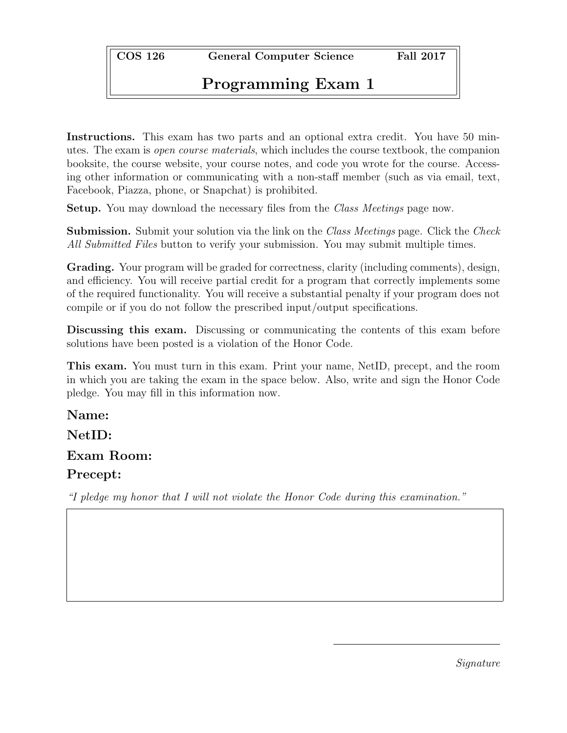COS 126 General Computer Science Fall 2017

# Programming Exam 1

Instructions. This exam has two parts and an optional extra credit. You have 50 minutes. The exam is open course materials, which includes the course textbook, the companion booksite, the course website, your course notes, and code you wrote for the course. Accessing other information or communicating with a non-staff member (such as via email, text, Facebook, Piazza, phone, or Snapchat) is prohibited.

Setup. You may download the necessary files from the Class Meetings page now.

**Submission.** Submit your solution via the link on the *Class Meetings* page. Click the *Check* All Submitted Files button to verify your submission. You may submit multiple times.

Grading. Your program will be graded for correctness, clarity (including comments), design, and efficiency. You will receive partial credit for a program that correctly implements some of the required functionality. You will receive a substantial penalty if your program does not compile or if you do not follow the prescribed input/output specifications.

Discussing this exam. Discussing or communicating the contents of this exam before solutions have been posted is a violation of the Honor Code.

This exam. You must turn in this exam. Print your name, NetID, precept, and the room in which you are taking the exam in the space below. Also, write and sign the Honor Code pledge. You may fill in this information now.

Name:

# NetID:

# Exam Room:

## Precept:

"I pledge my honor that I will not violate the Honor Code during this examination."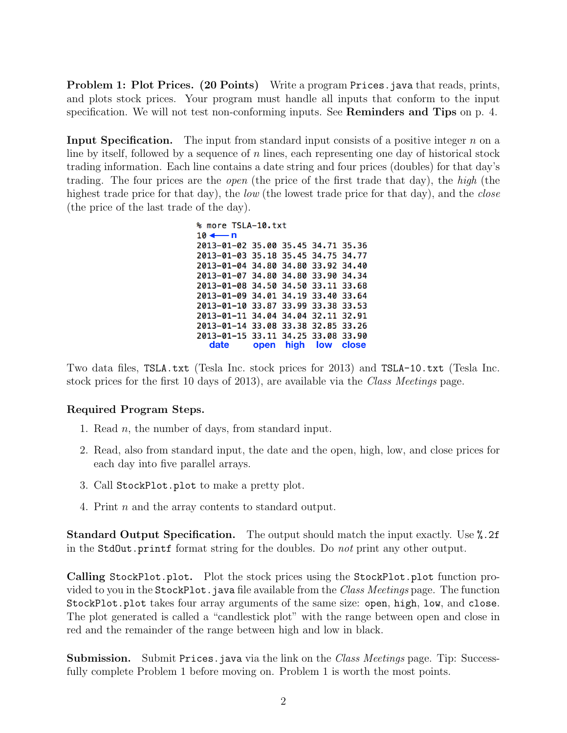Problem 1: Plot Prices. (20 Points) Write a program Prices.java that reads, prints, and plots stock prices. Your program must handle all inputs that conform to the input specification. We will not test non-conforming inputs. See **Reminders and Tips** on p. 4.

**Input Specification.** The input from standard input consists of a positive integer  $n$  on a line by itself, followed by a sequence of  $n$  lines, each representing one day of historical stock trading information. Each line contains a date string and four prices (doubles) for that day's trading. The four prices are the open (the price of the first trade that day), the high (the highest trade price for that day), the *low* (the lowest trade price for that day), and the *close* (the price of the last trade of the day).

> % more TSLA-10.txt  $10 -$ — n 2013-01-02 35.00 35.45 34.71 35.36 2013-01-03 35.18 35.45 34.75 34.77 2013-01-04 34.80 34.80 33.92 34.40 2013-01-07 34.80 34.80 33.90 34.34 2013-01-08 34.50 34.50 33.11 33.68 2013-01-09 34.01 34.19 33.40 33.64 2013-01-10 33.87 33.99 33.38 33.53 2013-01-11 34.04 34.04 32.11 32.91 2013-01-14 33.08 33.38 32.85 33.26 2013-01-15 33.11 34.25 33.08 33.90 date open high low close

Two data files, TSLA.txt (Tesla Inc. stock prices for 2013) and TSLA-10.txt (Tesla Inc. stock prices for the first 10 days of 2013), are available via the Class Meetings page.

### Required Program Steps.

- 1. Read n, the number of days, from standard input.
- 2. Read, also from standard input, the date and the open, high, low, and close prices for each day into five parallel arrays.
- 3. Call StockPlot.plot to make a pretty plot.
- 4. Print n and the array contents to standard output.

Standard Output Specification. The output should match the input exactly. Use %.2f in the StdOut.printf format string for the doubles. Do not print any other output.

Calling StockPlot.plot. Plot the stock prices using the StockPlot.plot function provided to you in the StockPlot. java file available from the Class Meetings page. The function StockPlot.plot takes four array arguments of the same size: open, high, low, and close. The plot generated is called a "candlestick plot" with the range between open and close in red and the remainder of the range between high and low in black.

**Submission.** Submit Prices. java via the link on the *Class Meetings* page. Tip: Successfully complete Problem 1 before moving on. Problem 1 is worth the most points.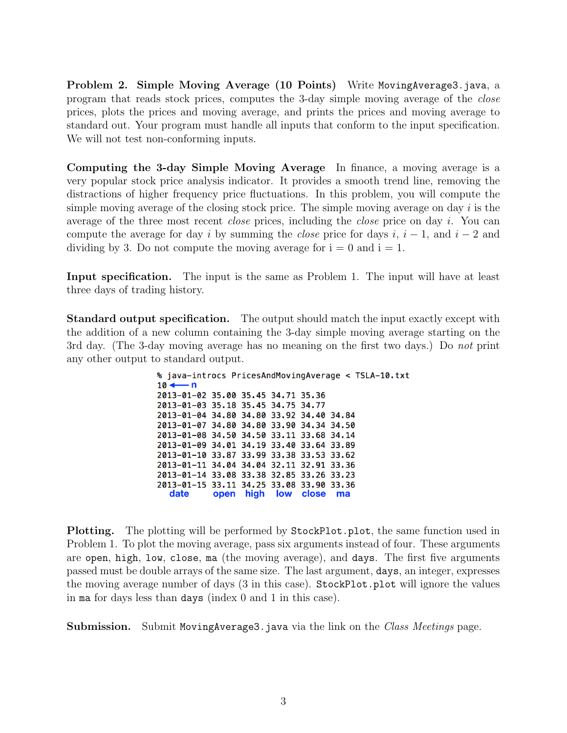Problem 2. Simple Moving Average (10 Points) Write MovingAverage3.java, a program that reads stock prices, computes the 3-day simple moving average of the close prices, plots the prices and moving average, and prints the prices and moving average to standard out. Your program must handle all inputs that conform to the input specification. We will not test non-conforming inputs.

Computing the 3-day Simple Moving Average In finance, a moving average is a very popular stock price analysis indicator. It provides a smooth trend line, removing the distractions of higher frequency price fluctuations. In this problem, you will compute the simple moving average of the closing stock price. The simple moving average on day  $i$  is the average of the three most recent *close* prices, including the *close* price on day i. You can compute the average for day i by summing the *close* price for days i,  $i - 1$ , and  $i - 2$  and dividing by 3. Do not compute the moving average for  $i = 0$  and  $i = 1$ .

Input specification. The input is the same as Problem 1. The input will have at least three days of trading history.

Standard output specification. The output should match the input exactly except with the addition of a new column containing the 3-day simple moving average starting on the 3rd day. (The 3-day moving average has no meaning on the first two days.) Do not print any other output to standard output.

> % java-introcs PricesAndMovingAverage < TSLA-10.txt  $10 \leftarrow n$ 2013-01-02 35.00 35.45 34.71 35.36 2013-01-03 35.18 35.45 34.75 34.77 2013-01-04 34.80 34.80 33.92 34.40 34.84 2013-01-07 34.80 34.80 33.90 34.34 34.50 2013-01-08 34.50 34.50 33.11 33.68 34.14 2013-01-09 34.01 34.19 33.40 33.64 33.89 2013-01-10 33.87 33.99 33.38 33.53 33.62 2013-01-11 34.04 34.04 32.11 32.91 33.36 2013-01-14 33.08 33.38 32.85 33.26 33.23 2013-01-15 33.11 34.25 33.08 33.90 33.36 date open high low close ma

Plotting. The plotting will be performed by StockPlot.plot, the same function used in Problem 1. To plot the moving average, pass six arguments instead of four. These arguments are open, high, low, close, ma (the moving average), and days. The first five arguments passed must be double arrays of the same size. The last argument, days, an integer, expresses the moving average number of days (3 in this case). StockPlot.plot will ignore the values in ma for days less than days (index 0 and 1 in this case).

Submission. Submit MovingAverage3.java via the link on the Class Meetings page.